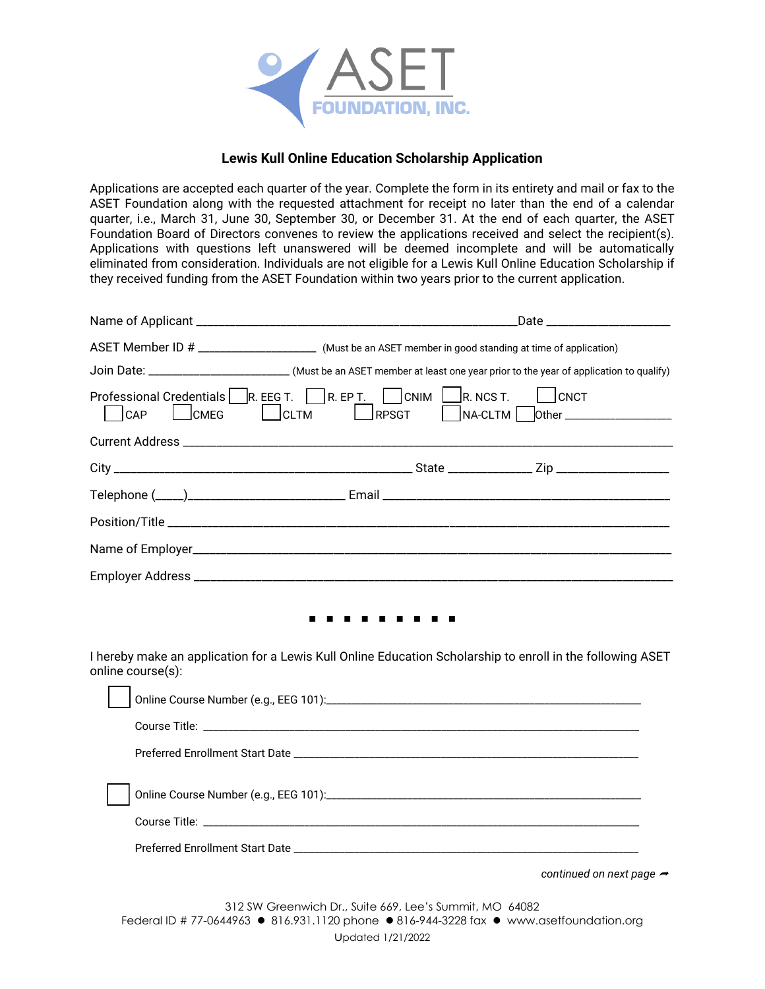

## **Lewis Kull Online Education Scholarship Application**

Applications are accepted each quarter of the year. Complete the form in its entirety and mail or fax to the ASET Foundation along with the requested attachment for receipt no later than the end of a calendar quarter, i.e., March 31, June 30, September 30, or December 31. At the end of each quarter, the ASET Foundation Board of Directors convenes to review the applications received and select the recipient(s). Applications with questions left unanswered will be deemed incomplete and will be automatically eliminated from consideration. Individuals are not eligible for a Lewis Kull Online Education Scholarship if they received funding from the ASET Foundation within two years prior to the current application.

|                                                                                                                                 |                                                                              | Date                                                    |
|---------------------------------------------------------------------------------------------------------------------------------|------------------------------------------------------------------------------|---------------------------------------------------------|
| ASET Member ID # _______________________ (Must be an ASET member in good standing at time of application)                       |                                                                              |                                                         |
| Join Date: _________________________(Must be an ASET member at least one year prior to the year of application to qualify)      |                                                                              |                                                         |
| Professional Credentials R. EEG T. R. EP T. CNIM $\Box$ R. NCS T.<br>$ $ CLTM<br>CAP<br><b>CMEG</b>                             | RPSGT                                                                        | $ $ $ $ $ $ $CNOT$<br>NA-CLTM   Other _________________ |
|                                                                                                                                 |                                                                              |                                                         |
|                                                                                                                                 |                                                                              |                                                         |
|                                                                                                                                 |                                                                              |                                                         |
|                                                                                                                                 |                                                                              |                                                         |
|                                                                                                                                 |                                                                              |                                                         |
|                                                                                                                                 |                                                                              |                                                         |
| I hereby make an application for a Lewis Kull Online Education Scholarship to enroll in the following ASET<br>online course(s): |                                                                              |                                                         |
|                                                                                                                                 |                                                                              |                                                         |
|                                                                                                                                 |                                                                              |                                                         |
|                                                                                                                                 |                                                                              |                                                         |
|                                                                                                                                 |                                                                              |                                                         |
|                                                                                                                                 |                                                                              | continued on next page $\rightarrow$                    |
| Federal ID # 77-0644963 ● 816.931.1120 phone ● 816-944-3228 fax ● www.asetfoundation.org                                        | 312 SW Greenwich Dr., Suite 669, Lee's Summit, MO 64082<br>Updated 1/21/2022 |                                                         |